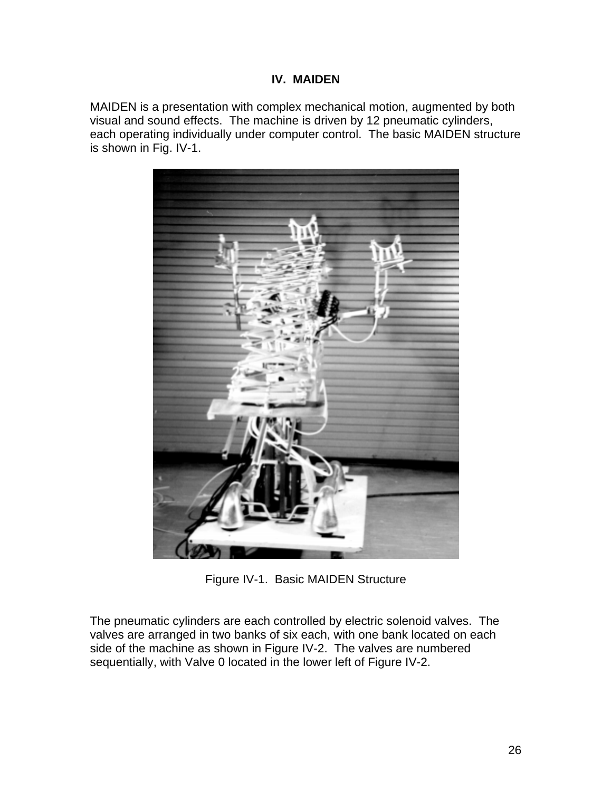## **IV. MAIDEN**

MAIDEN is a presentation with complex mechanical motion, augmented by both visual and sound effects. The machine is driven by 12 pneumatic cylinders, each operating individually under computer control. The basic MAIDEN structure is shown in Fig. IV-1.



Figure IV-1. Basic MAIDEN Structure

The pneumatic cylinders are each controlled by electric solenoid valves. The valves are arranged in two banks of six each, with one bank located on each side of the machine as shown in Figure IV-2. The valves are numbered sequentially, with Valve 0 located in the lower left of Figure IV-2.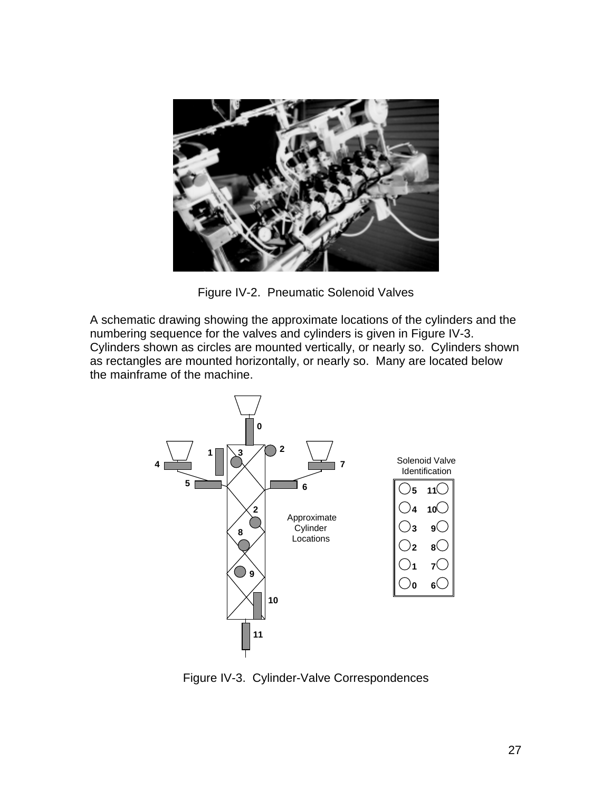

Figure IV-2. Pneumatic Solenoid Valves

A schematic drawing showing the approximate locations of the cylinders and the numbering sequence for the valves and cylinders is given in Figure IV-3. Cylinders shown as circles are mounted vertically, or nearly so. Cylinders shown as rectangles are mounted horizontally, or nearly so. Many are located below the mainframe of the machine.



Figure IV-3. Cylinder-Valve Correspondences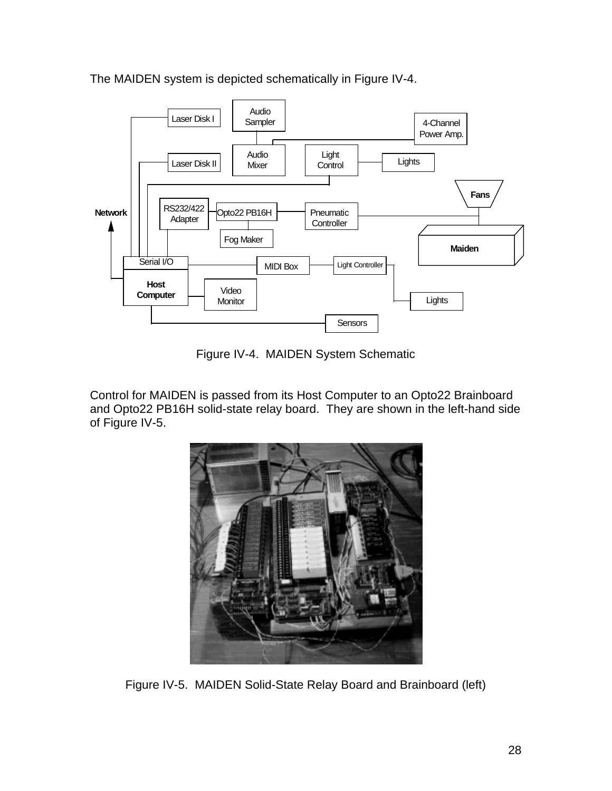The MAIDEN system is depicted schematically in Figure IV-4.



Figure IV-4. MAIDEN System Schematic

Control for MAIDEN is passed from its Host Computer to an Opto22 Brainboard and Opto22 PB16H solid-state relay board. They are shown in the left-hand side of Figure IV-5.



Figure IV-5. MAIDEN Solid-State Relay Board and Brainboard (left)